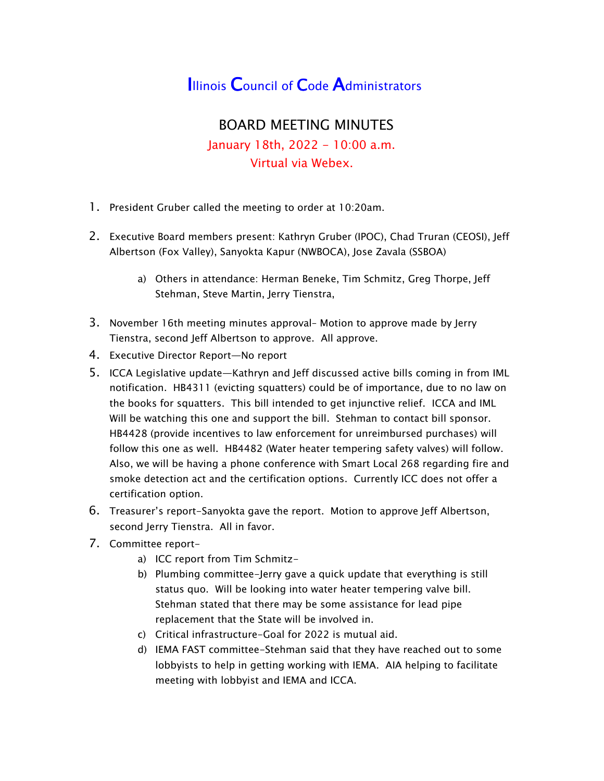## **Illinois Council of Code Administrators**

## BOARD MEETING MINUTES January 18th, 2022 - 10:00 a.m. Virtual via Webex.

- 1. President Gruber called the meeting to order at 10:20am.
- 2. Executive Board members present: Kathryn Gruber (IPOC), Chad Truran (CEOSI), Jeff Albertson (Fox Valley), Sanyokta Kapur (NWBOCA), Jose Zavala (SSBOA)
	- a) Others in attendance: Herman Beneke, Tim Schmitz, Greg Thorpe, Jeff Stehman, Steve Martin, Jerry Tienstra,
- 3. November 16th meeting minutes approval– Motion to approve made by Jerry Tienstra, second Jeff Albertson to approve. All approve.
- 4. Executive Director Report—No report
- 5. ICCA Legislative update—Kathryn and Jeff discussed active bills coming in from IML notification. HB4311 (evicting squatters) could be of importance, due to no law on the books for squatters. This bill intended to get injunctive relief. ICCA and IML Will be watching this one and support the bill. Stehman to contact bill sponsor. HB4428 (provide incentives to law enforcement for unreimbursed purchases) will follow this one as well. HB4482 (Water heater tempering safety valves) will follow. Also, we will be having a phone conference with Smart Local 268 regarding fire and smoke detection act and the certification options. Currently ICC does not offer a certification option.
- 6. Treasurer's report-Sanyokta gave the report. Motion to approve Jeff Albertson, second Jerry Tienstra. All in favor.
- 7. Committee report
	- a) ICC report from Tim Schmitz-
	- b) Plumbing committee-Jerry gave a quick update that everything is still status quo. Will be looking into water heater tempering valve bill. Stehman stated that there may be some assistance for lead pipe replacement that the State will be involved in.
	- c) Critical infrastructure-Goal for 2022 is mutual aid.
	- d) IEMA FAST committee-Stehman said that they have reached out to some lobbyists to help in getting working with IEMA. AIA helping to facilitate meeting with lobbyist and IEMA and ICCA.